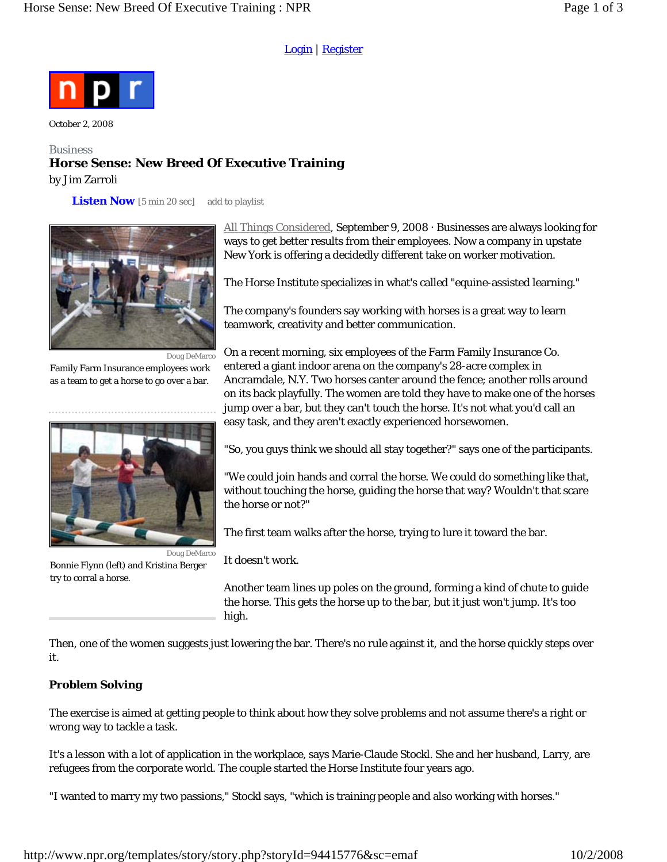### Login | Register



October 2, 2008

## **Business Horse Sense: New Breed Of Executive Training**  by Jim Zarroli

**Listen Now** *[5 min 20 sec]* add to playlist



Family Farm Insurance employees work as a team to get a horse to go over a bar.



Doug DeMarco Bonnie Flynn (left) and Kristina Berger try to corral a horse.

All Things Considered, September 9, 2008 · Businesses are always looking for ways to get better results from their employees. Now a company in upstate New York is offering a decidedly different take on worker motivation.

The Horse Institute specializes in what's called "equine-assisted learning."

The company's founders say working with horses is a great way to learn teamwork, creativity and better communication.

On a recent morning, six employees of the Farm Family Insurance Co. entered a giant indoor arena on the company's 28-acre complex in Ancramdale, N.Y. Two horses canter around the fence; another rolls around on its back playfully. The women are told they have to make one of the horses jump over a bar, but they can't touch the horse. It's not what you'd call an easy task, and they aren't exactly experienced horsewomen.

"So, you guys think we should all stay together?" says one of the participants.

"We could join hands and corral the horse. We could do something like that, without touching the horse, guiding the horse that way? Wouldn't that scare the horse or not?"

The first team walks after the horse, trying to lure it toward the bar.

It doesn't work.

Another team lines up poles on the ground, forming a kind of chute to guide the horse. This gets the horse up to the bar, but it just won't jump. It's too high.

Then, one of the women suggests just lowering the bar. There's no rule against it, and the horse quickly steps over it.

# **Problem Solving**

The exercise is aimed at getting people to think about how they solve problems and not assume there's a right or wrong way to tackle a task.

It's a lesson with a lot of application in the workplace, says Marie-Claude Stockl. She and her husband, Larry, are refugees from the corporate world. The couple started the Horse Institute four years ago.

"I wanted to marry my two passions," Stockl says, "which is training people and also working with horses."